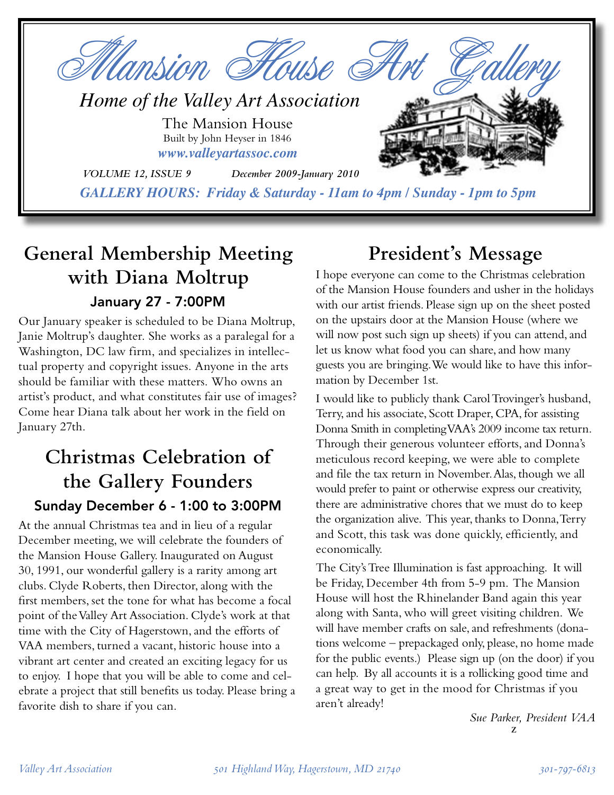

# **General Membership Meeting with Diana Moltrup** January 27 - 7:00PM

Our January speaker is scheduled to be Diana Moltrup, Janie Moltrup's daughter. She works as a paralegal for a Washington, DC law firm, and specializes in intellectual property and copyright issues. Anyone in the arts should be familiar with these matters. Who owns an artist's product, and what constitutes fair use of images? Come hear Diana talk about her work in the field on January 27th.

# **Christmas Celebration of the Gallery Founders** Sunday December 6 - 1:00 to 3:00PM

At the annual Christmas tea and in lieu of a regular December meeting, we will celebrate the founders of the Mansion House Gallery. Inaugurated on August 30, 1991, our wonderful gallery is a rarity among art clubs. Clyde Roberts, then Director, along with the first members, set the tone for what has become a focal point of the Valley Art Association. Clyde's work at that time with the City of Hagerstown, and the efforts of VAA members, turned a vacant, historic house into a vibrant art center and created an exciting legacy for us to enjoy. I hope that you will be able to come and celebrate a project that still benefits us today. Please bring a favorite dish to share if you can.

# **President's Message**

I hope everyone can come to the Christmas celebration of the Mansion House founders and usher in the holidays with our artist friends. Please sign up on the sheet posted on the upstairs door at the Mansion House (where we will now post such sign up sheets) if you can attend, and let us know what food you can share, and how many guests you are bringing. We would like to have this information by December 1st.

I would like to publicly thank Carol Trovinger's husband, Terry, and his associate, Scott Draper, CPA, for assisting Donna Smith in completing VAA's 2009 income tax return. Through their generous volunteer efforts, and Donna's meticulous record keeping, we were able to complete and file the tax return in November. Alas, though we all would prefer to paint or otherwise express our creativity, there are administrative chores that we must do to keep the organization alive. This year, thanks to Donna, Terry and Scott, this task was done quickly, efficiently, and economically.

The City's Tree Illumination is fast approaching. It will be Friday, December 4th from 5-9 pm. The Mansion House will host the Rhinelander Band again this year along with Santa, who will greet visiting children. We will have member crafts on sale, and refreshments (donations welcome – prepackaged only, please, no home made for the public events.) Please sign up (on the door) if you can help. By all accounts it is a rollicking good time and a great way to get in the mood for Christmas if you aren't already!

> *Sue Parker, President VAA* z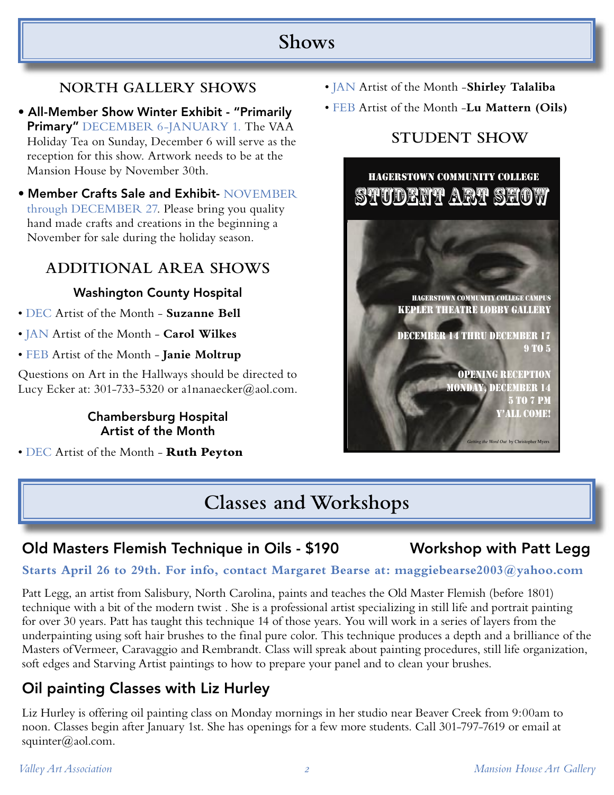# **Shows**

## **NORTH GALLERY SHOWS**

- All-Member Show Winter Exhibit "Primarily Primary" DECEMBER 6-JANUARY 1. The VAA Holiday Tea on Sunday, December 6 will serve as the reception for this show. Artwork needs to be at the Mansion House by November 30th.
- Member Crafts Sale and Exhibit- NOVEMBER through DECEMBER 27. Please bring you quality hand made crafts and creations in the beginning a November for sale during the holiday season.

## **ADDITIONAL AREA SHOWS**

## Washington County Hospital

- DEC Artist of the Month **Suzanne Bell**
- JAN Artist of the Month **Carol Wilkes**
- FEB Artist of the Month **Janie Moltrup**

Questions on Art in the Hallways should be directed to Lucy Ecker at: 301-733-5320 or a1nanaecker@aol.com.

### Chambersburg Hospital Artist of the Month

• DEC Artist of the Month - **Ruth Peyton**

- JAN Artist of the Month -**Shirley Talaliba**
- FEB Artist of the Month -**Lu Mattern (Oils)**

## **STUDENT SHOW**



# **Classes and Workshops**

## Old Masters Flemish Technique in Oils - \$190 Workshop with Patt Legg

### **Starts April 26 to 29th. For info, contact Margaret Bearse at: maggiebearse2003@yahoo.com**

Patt Legg, an artist from Salisbury, North Carolina, paints and teaches the Old Master Flemish (before 1801) technique with a bit of the modern twist . She is a professional artist specializing in still life and portrait painting for over 30 years. Patt has taught this technique 14 of those years. You will work in a series of layers from the underpainting using soft hair brushes to the final pure color. This technique produces a depth and a brilliance of the Masters ofVermeer, Caravaggio and Rembrandt. Class will spreak about painting procedures, still life organization, soft edges and Starving Artist paintings to how to prepare your panel and to clean your brushes.

# Oil painting Classes with Liz Hurley

Liz Hurley is offering oil painting class on Monday mornings in her studio near Beaver Creek from 9:00am to noon. Classes begin after January 1st. She has openings for a few more students. Call 301-797-7619 or email at squinter@aol.com.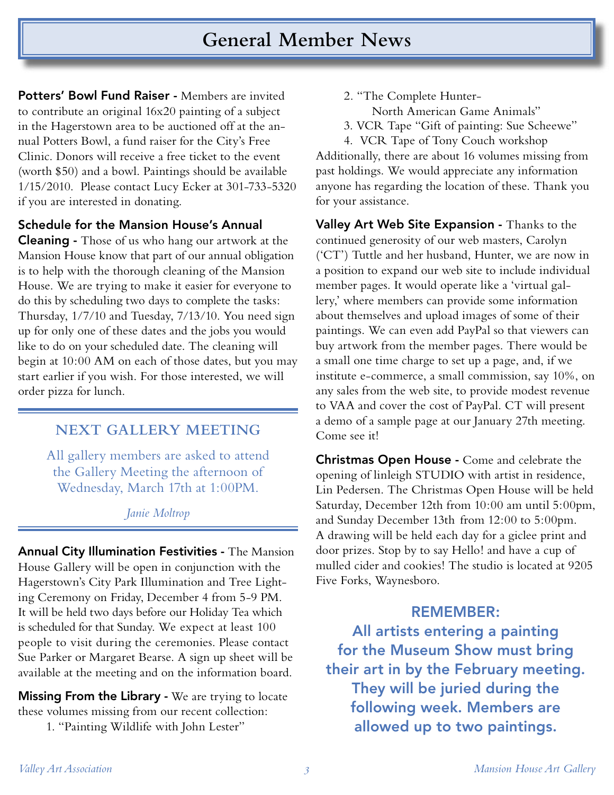Potters' Bowl Fund Raiser - Members are invited to contribute an original 16x20 painting of a subject in the Hagerstown area to be auctioned off at the annual Potters Bowl, a fund raiser for the City's Free Clinic. Donors will receive a free ticket to the event (worth \$50) and a bowl. Paintings should be available 1/15/2010. Please contact Lucy Ecker at 301-733-5320 if you are interested in donating.

#### Schedule for the Mansion House's Annual

**Cleaning -** Those of us who hang our artwork at the Mansion House know that part of our annual obligation is to help with the thorough cleaning of the Mansion House. We are trying to make it easier for everyone to do this by scheduling two days to complete the tasks: Thursday, 1/7/10 and Tuesday, 7/13/10. You need sign up for only one of these dates and the jobs you would like to do on your scheduled date. The cleaning will begin at 10:00 AM on each of those dates, but you may start earlier if you wish. For those interested, we will order pizza for lunch.

#### **NEXT GALLERY MEETING**

All gallery members are asked to attend the Gallery Meeting the afternoon of Wednesday, March 17th at 1:00PM.

*Janie Moltrop*

Annual City Illumination Festivities - The Mansion House Gallery will be open in conjunction with the Hagerstown's City Park Illumination and Tree Lighting Ceremony on Friday, December 4 from 5-9 PM. It will be held two days before our Holiday Tea which is scheduled for that Sunday. We expect at least 100 people to visit during the ceremonies. Please contact Sue Parker or Margaret Bearse. A sign up sheet will be available at the meeting and on the information board.

**Missing From the Library - We are trying to locate** these volumes missing from our recent collection:

1. "Painting Wildlife with John Lester"

- 2. "The Complete Hunter- North American Game Animals"
- 3. VCR Tape "Gift of painting: Sue Scheewe"
- 4. VCR Tape of Tony Couch workshop

Additionally, there are about 16 volumes missing from past holdings. We would appreciate any information anyone has regarding the location of these. Thank you for your assistance.

Valley Art Web Site Expansion - Thanks to the continued generosity of our web masters, Carolyn ('CT') Tuttle and her husband, Hunter, we are now in a position to expand our web site to include individual member pages. It would operate like a 'virtual gallery,' where members can provide some information about themselves and upload images of some of their paintings. We can even add PayPal so that viewers can buy artwork from the member pages. There would be a small one time charge to set up a page, and, if we institute e-commerce, a small commission, say 10%, on any sales from the web site, to provide modest revenue to VAA and cover the cost of PayPal. CT will present a demo of a sample page at our January 27th meeting. Come see it!

Christmas Open House - Come and celebrate the opening of linleigh STUDIO with artist in residence, Lin Pedersen. The Christmas Open House will be held Saturday, December 12th from 10:00 am until 5:00pm, and Sunday December 13th from 12:00 to 5:00pm. A drawing will be held each day for a giclee print and door prizes. Stop by to say Hello! and have a cup of mulled cider and cookies! The studio is located at 9205 Five Forks, Waynesboro.

### REMEMBER:

All artists entering a painting for the Museum Show must bring their art in by the February meeting. They will be juried during the following week. Members are allowed up to two paintings.